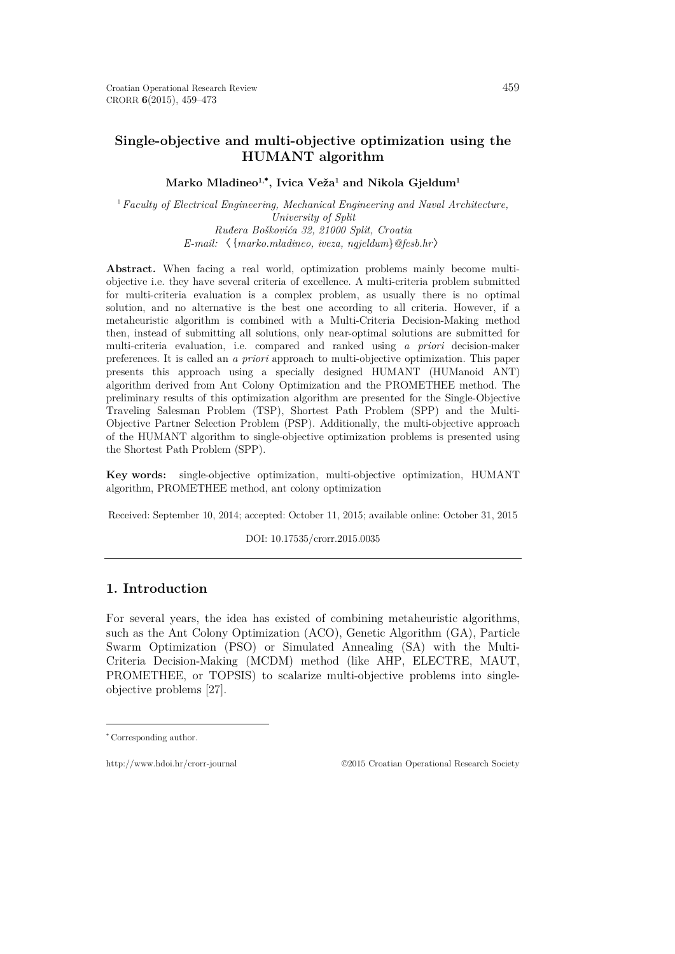# **Single-objective and multi-objective optimization using the HUMANT algorithm**

### $\mathbf{Marko\;Mladineo^{1,^\bullet\!},\mathbf{Ivica\;Veža^1\; and\;Nikola\;Gjeldum^1}}$

<sup>1</sup>*Faculty of Electrical Engineering, Mechanical Engineering and Naval Architecture, University of Split Ruđera Boškovića 32, 21000 Split, Croatia E-mail:* 〈{*marko.mladineo, iveza, ngjeldum*}*@fesb.hr*〉

**Abstract.** When facing a real world, optimization problems mainly become multiobjective i.e. they have several criteria of excellence. A multi-criteria problem submitted for multi-criteria evaluation is a complex problem, as usually there is no optimal solution, and no alternative is the best one according to all criteria. However, if a metaheuristic algorithm is combined with a Multi-Criteria Decision-Making method then, instead of submitting all solutions, only near-optimal solutions are submitted for multi-criteria evaluation, i.e. compared and ranked using *a priori* decision-maker preferences. It is called an *a priori* approach to multi-objective optimization. This paper presents this approach using a specially designed HUMANT (HUManoid ANT) algorithm derived from Ant Colony Optimization and the PROMETHEE method. The preliminary results of this optimization algorithm are presented for the Single-Objective Traveling Salesman Problem (TSP), Shortest Path Problem (SPP) and the Multi-Objective Partner Selection Problem (PSP). Additionally, the multi-objective approach of the HUMANT algorithm to single-objective optimization problems is presented using the Shortest Path Problem (SPP).

**Key words:** single-objective optimization, multi-objective optimization, HUMANT algorithm, PROMETHEE method, ant colony optimization

Received: September 10, 2014; accepted: October 11, 2015; available online: October 31, 2015

DOI: 10.17535/crorr.2015.0035

# **1. Introduction**

For several years, the idea has existed of combining metaheuristic algorithms, such as the Ant Colony Optimization (ACO), Genetic Algorithm (GA), Particle Swarm Optimization (PSO) or Simulated Annealing (SA) with the Multi-Criteria Decision-Making (MCDM) method (like AHP, ELECTRE, MAUT, PROMETHEE, or TOPSIS) to scalarize multi-objective problems into singleobjective problems [\[27\].](#page-13-0)

 $\overline{a}$ 

http://www.hdoi.hr/crorr-journal ©2015 Croatian Operational Research Society

<span id="page-0-0"></span><sup>∗</sup> Corresponding author.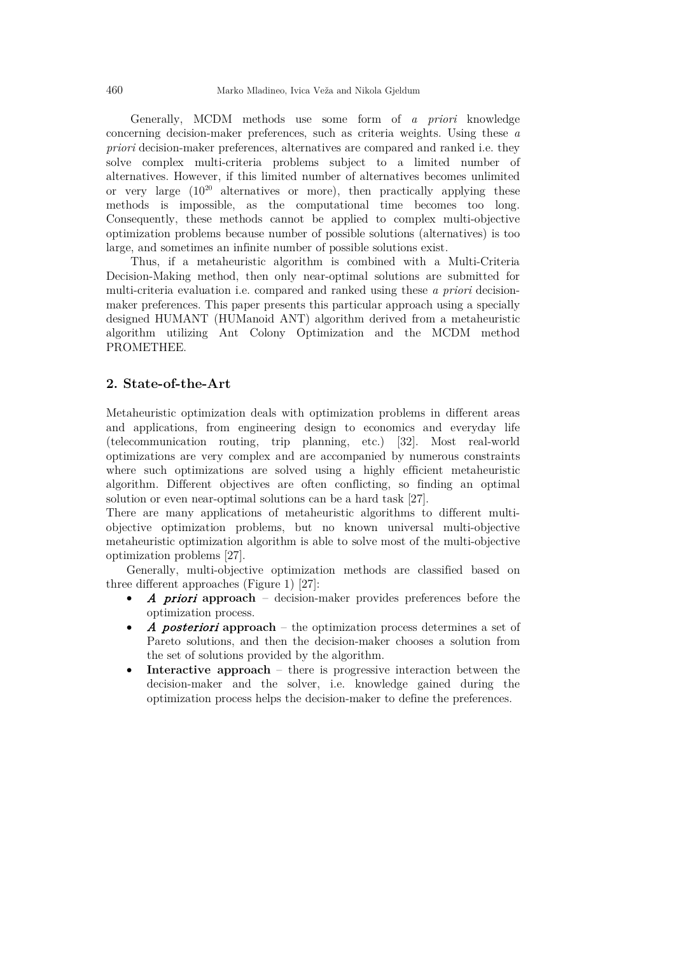Generally, MCDM methods use some form of *a priori* knowledge concerning decision-maker preferences, such as criteria weights. Using these *a priori* decision-maker preferences, alternatives are compared and ranked i.e. they solve complex multi-criteria problems subject to a limited number of alternatives. However, if this limited number of alternatives becomes unlimited or very large  $(10^{20}$  alternatives or more), then practically applying these methods is impossible, as the computational time becomes too long. Consequently, these methods cannot be applied to complex multi-objective optimization problems because number of possible solutions (alternatives) is too large, and sometimes an infinite number of possible solutions exist.

Thus, if a metaheuristic algorithm is combined with a Multi-Criteria Decision-Making method, then only near-optimal solutions are submitted for multi-criteria evaluation i.e. compared and ranked using these *a priori* decisionmaker preferences. This paper presents this particular approach using a specially designed HUMANT (HUManoid ANT) algorithm derived from a metaheuristic algorithm utilizing Ant Colony Optimization and the MCDM method PROMETHEE.

### **2. State-of-the-Art**

Metaheuristic optimization deals with optimization problems in different areas and applications, from engineering design to economics and everyday life (telecommunication routing, trip planning, etc.) [\[32\].](#page-14-0) Most real-world optimizations are very complex and are accompanied by numerous constraints where such optimizations are solved using a highly efficient metaheuristic algorithm. Different objectives are often conflicting, so finding an optimal solution or even near-optimal solutions can be a hard task [\[27\].](#page-13-0)

There are many applications of metaheuristic algorithms to different multiobjective optimization problems, but no known universal multi-objective metaheuristic optimization algorithm is able to solve most of the multi-objective optimization problems [\[27\].](#page-13-0)

Generally, multi-objective optimization methods are classified based on three different approaches (Figure 1) [\[27\]:](#page-13-0)

- A priori **approach**  decision-maker provides preferences before the optimization process.
- A posteriori **approach**  the optimization process determines a set of Pareto solutions, and then the decision-maker chooses a solution from the set of solutions provided by the algorithm.
- **Interactive approach** there is progressive interaction between the decision-maker and the solver, i.e. knowledge gained during the optimization process helps the decision-maker to define the preferences.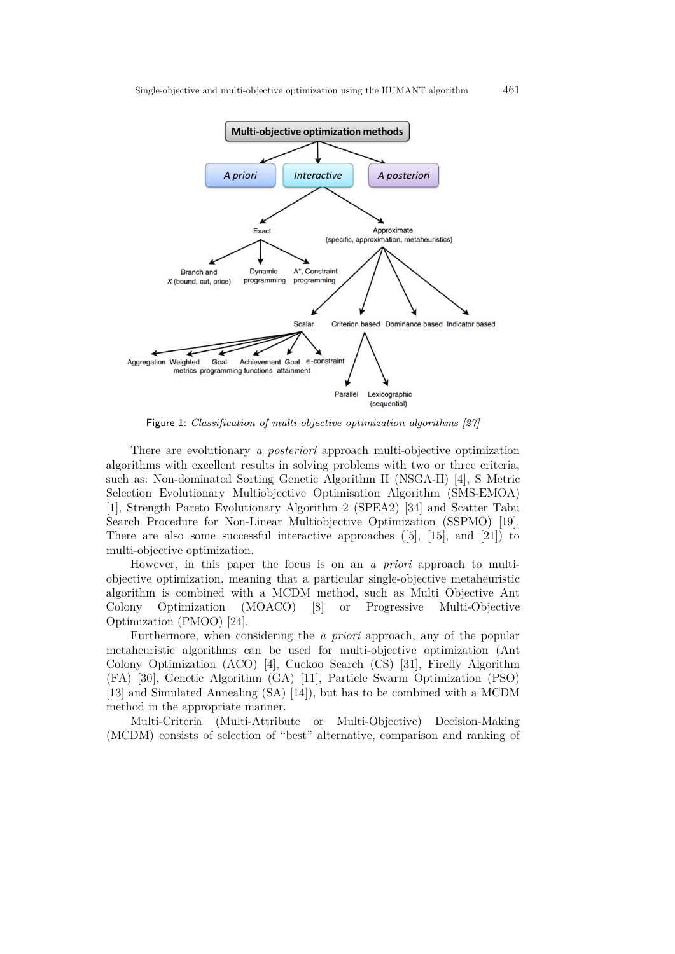

Figure 1: Classification of multi-objective optimization algorithms [\[27\]](#page-13-0)

There are evolutionary *a posteriori* approach multi-objective optimization algorithms with excellent results in solving problems with two or three criteria, such as: Non-dominated Sorting Genetic Algorithm II (NSGA-II) [\[4\],](#page-12-0) S Metric Selection Evolutionary Multiobjective Optimisation Algorithm (SMS-EMOA) [\[1\],](#page-12-1) Strength Pareto Evolutionary Algorithm 2 (SPEA2) [\[34\]](#page-14-1) and Scatter Tabu Search Procedure for Non-Linear Multiobjective Optimization (SSPMO) [\[19\].](#page-13-1) There are also some successful interactive approaches  $([5], [15],$  $([5], [15],$  $([5], [15],$  and  $[21]$ ) to multi-objective optimization.

However, in this paper the focus is on an *a priori* approach to multiobjective optimization, meaning that a particular single-objective metaheuristic algorithm is combined with a MCDM method, such as Multi Objective Ant Colony Optimization (MOACO) [\[8\]](#page-12-3) or Progressive Multi-Objective Optimization (PMOO) [\[24\].](#page-13-4)

Furthermore, when considering the *a priori* approach, any of the popular metaheuristic algorithms can be used for multi-objective optimization (Ant Colony Optimization (ACO) [\[4\],](#page-12-0) Cuckoo Search (CS) [\[31\],](#page-14-2) Firefly Algorithm (FA) [\[30\],](#page-14-3) Genetic Algorithm (GA) [\[11\],](#page-13-5) Particle Swarm Optimization (PSO) [\[13\]](#page-13-6) and Simulated Annealing (SA) [\[14\]\)](#page-13-7), but has to be combined with a MCDM method in the appropriate manner.

Multi-Criteria (Multi-Attribute or Multi-Objective) Decision-Making (MCDM) consists of selection of "best" alternative, comparison and ranking of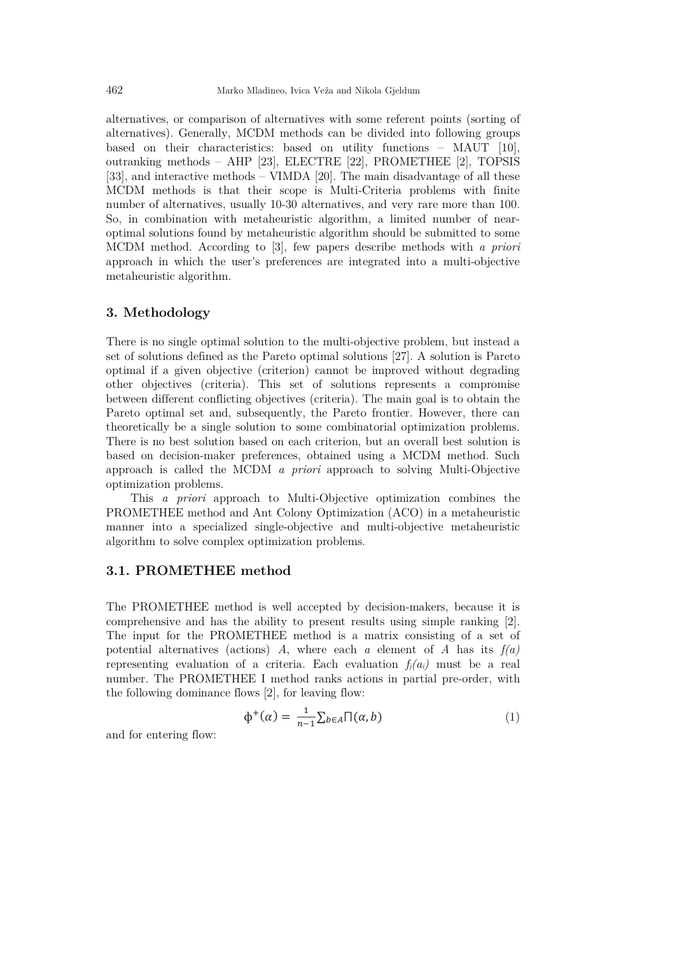alternatives, or comparison of alternatives with some referent points (sorting of alternatives). Generally, MCDM methods can be divided into following groups based on their characteristics: based on utility functions – MAUT [\[10\],](#page-13-8) outranking methods – AHP [\[23\],](#page-13-9) ELECTRE [\[22\],](#page-13-10) PROMETHEE [\[2\],](#page-12-4) TOPSIS [\[33\],](#page-14-4) and interactive methods – VIMDA [\[20\].](#page-13-11) The main disadvantage of all these MCDM methods is that their scope is Multi-Criteria problems with finite number of alternatives, usually 10-30 alternatives, and very rare more than 100. So, in combination with metaheuristic algorithm, a limited number of nearoptimal solutions found by metaheuristic algorithm should be submitted to some MCDM method. According to [\[3\],](#page-12-5) few papers describe methods with *a priori* approach in which the user's preferences are integrated into a multi-objective metaheuristic algorithm.

### **3. Methodology**

There is no single optimal solution to the multi-objective problem, but instead a set of solutions defined as the Pareto optimal solutions [\[27\].](#page-13-0) A solution is Pareto optimal if a given objective (criterion) cannot be improved without degrading other objectives (criteria). This set of solutions represents a compromise between different conflicting objectives (criteria). The main goal is to obtain the Pareto optimal set and, subsequently, the Pareto frontier. However, there can theoretically be a single solution to some combinatorial optimization problems. There is no best solution based on each criterion, but an overall best solution is based on decision-maker preferences, obtained using a MCDM method. Such approach is called the MCDM *a priori* approach to solving Multi-Objective optimization problems.

This *a priori* approach to Multi-Objective optimization combines the PROMETHEE method and Ant Colony Optimization (ACO) in a metaheuristic manner into a specialized single-objective and multi-objective metaheuristic algorithm to solve complex optimization problems.

#### **3.1. PROMETHEE method**

The PROMETHEE method is well accepted by decision-makers, because it is comprehensive and has the ability to present results using simple ranking [\[2\].](#page-12-4) The input for the PROMETHEE method is a matrix consisting of a set of potential alternatives (actions)  $A$ , where each  $a$  element of  $A$  has its  $f(a)$ representing evaluation of a criteria. Each evaluation  $f_i(a_i)$  must be a real number. The PROMETHEE I method ranks actions in partial pre-order, with the following dominance flows [\[2\],](#page-12-4) for leaving flow:

$$
\Phi^+(\alpha) = \frac{1}{n-1} \sum_{b \in A} \prod(\alpha, b) \tag{1}
$$

and for entering flow: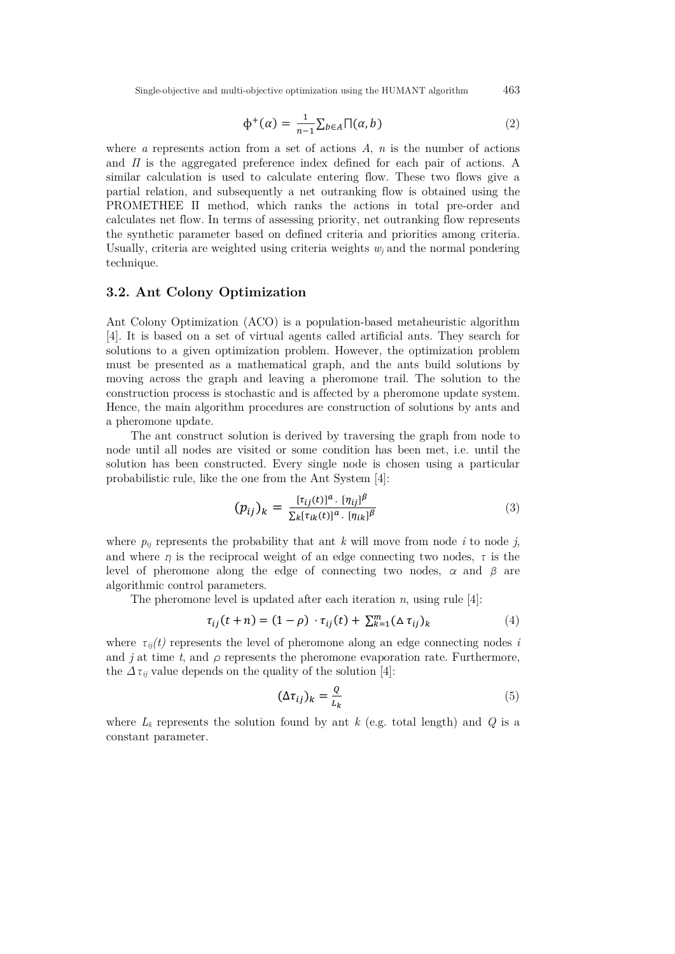Single-objective and multi-objective optimization using the HUMANT algorithm 463

$$
\Phi^+(\alpha) = \frac{1}{n-1} \sum_{b \in A} \prod(\alpha, b) \tag{2}
$$

where *a* represents action from a set of actions *A*, *n* is the number of actions and *Π* is the aggregated preference index defined for each pair of actions. A similar calculation is used to calculate entering flow. These two flows give a partial relation, and subsequently a net outranking flow is obtained using the PROMETHEE II method, which ranks the actions in total pre-order and calculates net flow. In terms of assessing priority, net outranking flow represents the synthetic parameter based on defined criteria and priorities among criteria. Usually, criteria are weighted using criteria weights  $w_i$  and the normal pondering technique.

### **3.2. Ant Colony Optimization**

Ant Colony Optimization (ACO) is a population-based metaheuristic algorithm [\[4\].](#page-12-0) It is based on a set of virtual agents called artificial ants. They search for solutions to a given optimization problem. However, the optimization problem must be presented as a mathematical graph, and the ants build solutions by moving across the graph and leaving a pheromone trail. The solution to the construction process is stochastic and is affected by a pheromone update system. Hence, the main algorithm procedures are construction of solutions by ants and a pheromone update.

The ant construct solution is derived by traversing the graph from node to node until all nodes are visited or some condition has been met, i.e. until the solution has been constructed. Every single node is chosen using a particular probabilistic rule, like the one from the Ant System [\[4\]:](#page-12-0)

$$
(p_{ij})_k = \frac{[\tau_{ij}(t)]^a \cdot [\eta_{ij}]^\beta}{\sum_k [\tau_{ik}(t)]^a \cdot [\eta_{ik}]^\beta}
$$
(3)

where  $p_{ii}$  represents the probability that ant *k* will move from node *i* to node *j*, and where  $\eta$  is the reciprocal weight of an edge connecting two nodes,  $\tau$  is the level of pheromone along the edge of connecting two nodes, *α* and *β* are algorithmic control parameters.

The pheromone level is updated after each iteration *n*, using rule [\[4\]:](#page-12-0)

$$
\tau_{ij}(t+n) = (1-\rho) \cdot \tau_{ij}(t) + \sum_{k=1}^{m} (\Delta \tau_{ij})_k \tag{4}
$$

where  $\tau_{ij}(t)$  represents the level of pheromone along an edge connecting nodes *i* and *j* at time *t*, and  $\rho$  represents the pheromone evaporation rate. Furthermore, the  $\Delta \tau_{ij}$  value depends on the quality of the solution [\[4\]:](#page-12-0)

$$
(\Delta \tau_{ij})_k = \frac{Q}{L_k} \tag{5}
$$

where  $L_k$  represents the solution found by ant  $k$  (e.g. total length) and  $Q$  is a constant parameter.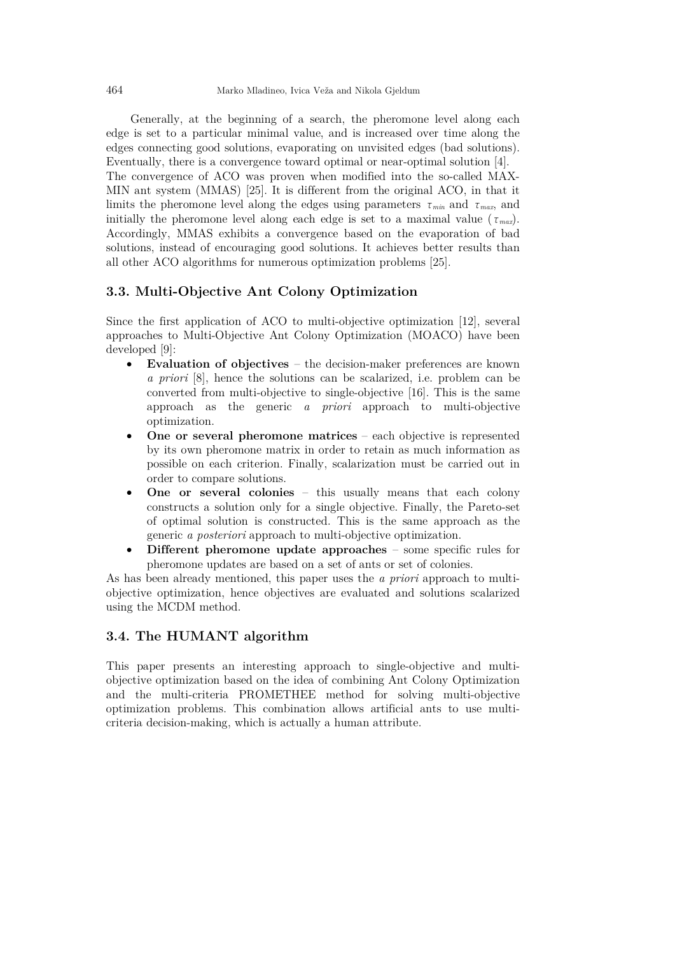Generally, at the beginning of a search, the pheromone level along each edge is set to a particular minimal value, and is increased over time along the edges connecting good solutions, evaporating on unvisited edges (bad solutions). Eventually, there is a convergence toward optimal or near-optimal solution [\[4\].](#page-12-0)

The convergence of ACO was proven when modified into the so-called MAX-MIN ant system (MMAS) [\[25\].](#page-13-12) It is different from the original ACO, in that it limits the pheromone level along the edges using parameters  $\tau_{min}$  and  $\tau_{max}$ , and initially the pheromone level along each edge is set to a maximal value ( $\tau_{max}$ ). Accordingly, MMAS exhibits a convergence based on the evaporation of bad solutions, instead of encouraging good solutions. It achieves better results than all other ACO algorithms for numerous optimization problems [\[25\].](#page-13-12)

# **3.3. Multi-Objective Ant Colony Optimization**

Since the first application of ACO to multi-objective optimization [\[12\],](#page-13-13) several approaches to Multi-Objective Ant Colony Optimization (MOACO) have been developed [\[9\]:](#page-12-6)

- **Evaluation of objectives**  the decision-maker preferences are known *a priori* [\[8\],](#page-12-3) hence the solutions can be scalarized, i.e. problem can be converted from multi-objective to single-objective [\[16\].](#page-13-14) This is the same approach as the generic *a priori* approach to multi-objective optimization.
- **One or several pheromone matrices** each objective is represented by its own pheromone matrix in order to retain as much information as possible on each criterion. Finally, scalarization must be carried out in order to compare solutions.
- **One or several colonies** this usually means that each colony constructs a solution only for a single objective. Finally, the Pareto-set of optimal solution is constructed. This is the same approach as the generic *a posteriori* approach to multi-objective optimization.
- **Different pheromone update approaches** some specific rules for pheromone updates are based on a set of ants or set of colonies.

As has been already mentioned, this paper uses the *a priori* approach to multiobjective optimization, hence objectives are evaluated and solutions scalarized using the MCDM method.

# **3.4. The HUMANT algorithm**

This paper presents an interesting approach to single-objective and multiobjective optimization based on the idea of combining Ant Colony Optimization and the multi-criteria PROMETHEE method for solving multi-objective optimization problems. This combination allows artificial ants to use multicriteria decision-making, which is actually a human attribute.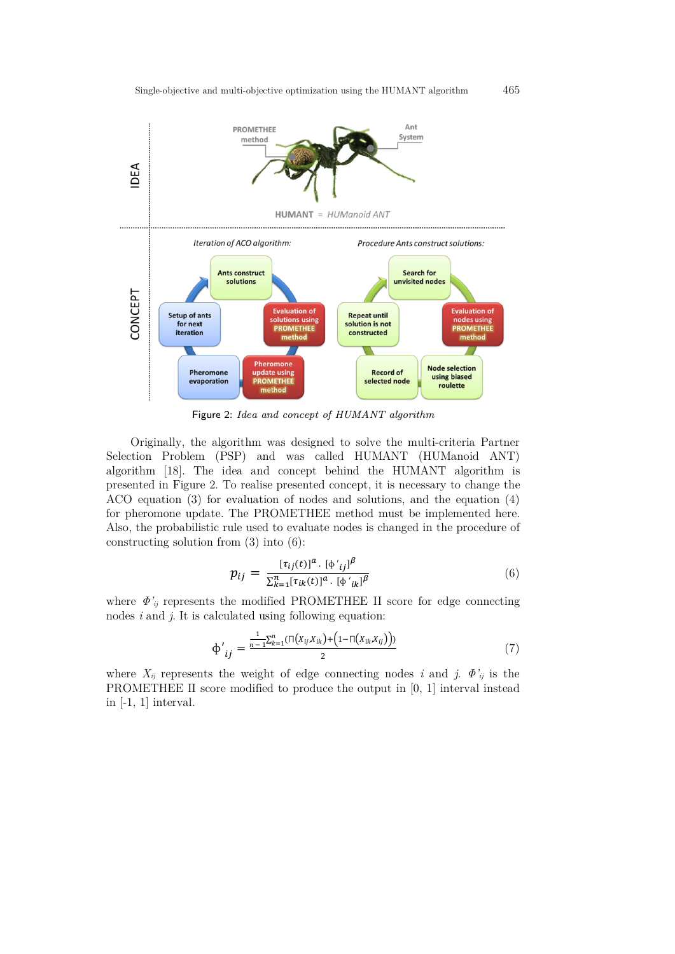

Figure 2: Idea and concept of HUMANT algorithm

Originally, the algorithm was designed to solve the multi-criteria Partner Selection Problem (PSP) and was called HUMANT (HUManoid ANT) algorithm [\[18\].](#page-13-15) The idea and concept behind the HUMANT algorithm is presented in Figure 2. To realise presented concept, it is necessary to change the ACO equation (3) for evaluation of nodes and solutions, and the equation (4) for pheromone update. The PROMETHEE method must be implemented here. Also, the probabilistic rule used to evaluate nodes is changed in the procedure of constructing solution from (3) into (6):

$$
p_{ij} = \frac{[\tau_{ij}(t)]^a \cdot [\phi'_{ij}]^{\beta}}{\sum_{k=1}^n [\tau_{ik}(t)]^a \cdot [\phi'_{ik}]^{\beta}}
$$
(6)

where  $\Phi'_{ij}$  represents the modified PROMETHEE II score for edge connecting nodes *i* and *j*. It is calculated using following equation:

$$
\Phi'_{ij} = \frac{\frac{1}{n-1} \sum_{k=1}^{n} (\prod(x_{ij}, x_{ik}) + (1 - \prod(x_{ik}, x_{ij}))}{2}
$$
(7)

where  $X_{ij}$  represents the weight of edge connecting nodes *i* and *j*.  $\Phi'_{ij}$  is the PROMETHEE II score modified to produce the output in [0, 1] interval instead in [-1, 1] interval.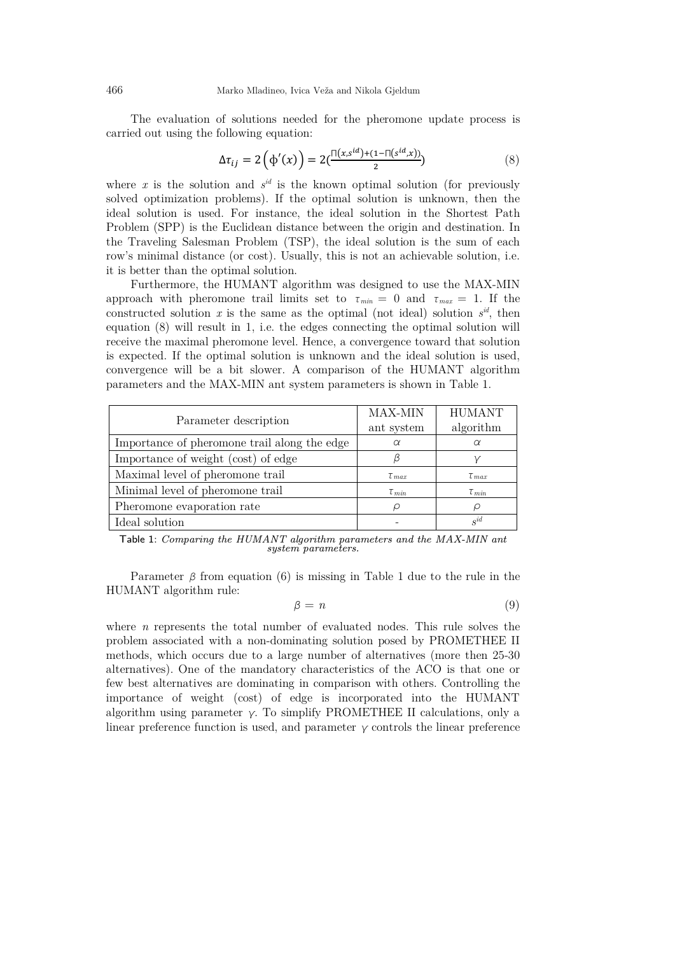The evaluation of solutions needed for the pheromone update process is carried out using the following equation:

$$
\Delta \tau_{ij} = 2\left(\phi'(x)\right) = 2\left(\frac{\Pi(x, s^{id}) + (1 - \Pi(s^{id}, x))}{2}\right) \tag{8}
$$

where  $x$  is the solution and  $s^{id}$  is the known optimal solution (for previously solved optimization problems). If the optimal solution is unknown, then the ideal solution is used. For instance, the ideal solution in the Shortest Path Problem (SPP) is the Euclidean distance between the origin and destination. In the Traveling Salesman Problem (TSP), the ideal solution is the sum of each row's minimal distance (or cost). Usually, this is not an achievable solution, i.e. it is better than the optimal solution.

Furthermore, the HUMANT algorithm was designed to use the MAX-MIN approach with pheromone trail limits set to  $\tau_{min} = 0$  and  $\tau_{max} = 1$ . If the constructed solution x is the same as the optimal (not ideal) solution  $s^{id}$ , then equation (8) will result in 1, i.e. the edges connecting the optimal solution will receive the maximal pheromone level. Hence, a convergence toward that solution is expected. If the optimal solution is unknown and the ideal solution is used, convergence will be a bit slower. A comparison of the HUMANT algorithm parameters and the MAX-MIN ant system parameters is shown in Table 1.

| Parameter description                        | MAX-MIN             | <b>HUMANT</b> |
|----------------------------------------------|---------------------|---------------|
|                                              | ant system          | algorithm     |
| Importance of pheromone trail along the edge | $\alpha$            | α             |
| Importance of weight (cost) of edge          |                     |               |
| Maximal level of pheromone trail             | $\tau_{max}$        | $\tau_{max}$  |
| Minimal level of pheromone trail             | $\tau_{\text{min}}$ | $\tau_{min}$  |
| Pheromone evaporation rate                   |                     | ρ             |
| Ideal solution                               |                     | $s^{id}$      |

Table 1: Comparing the HUMANT algorithm parameters and the MAX-MIN ant system parameters.

Parameter *β* from equation (6) is missing in Table 1 due to the rule in the HUMANT algorithm rule:

$$
\beta = n \tag{9}
$$

where *n* represents the total number of evaluated nodes. This rule solves the problem associated with a non-dominating solution posed by PROMETHEE II methods, which occurs due to a large number of alternatives (more then 25-30 alternatives). One of the mandatory characteristics of the ACO is that one or few best alternatives are dominating in comparison with others. Controlling the importance of weight (cost) of edge is incorporated into the HUMANT algorithm using parameter  $\gamma$ . To simplify PROMETHEE II calculations, only a linear preference function is used, and parameter *γ* controls the linear preference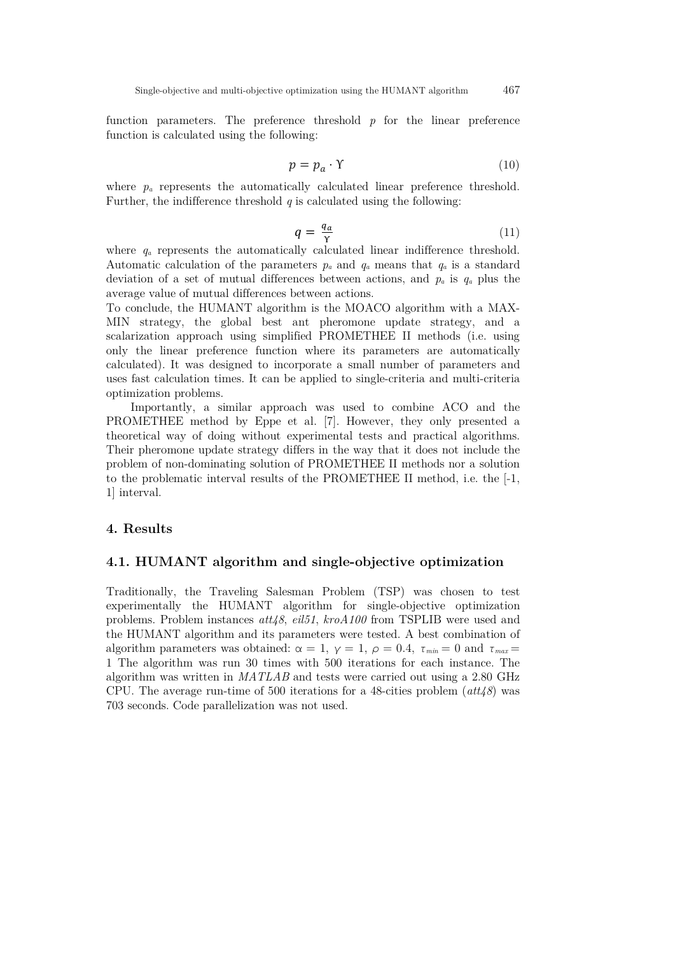function parameters. The preference threshold *p* for the linear preference function is calculated using the following:

$$
p = p_a \cdot \Upsilon \tag{10}
$$

where  $p_a$  represents the automatically calculated linear preference threshold. Further, the indifference threshold *q* is calculated using the following:

$$
q = \frac{q_a}{\gamma} \tag{11}
$$

where  $q_a$  represents the automatically calculated linear indifference threshold. Automatic calculation of the parameters  $p_a$  and  $q_a$  means that  $q_a$  is a standard deviation of a set of mutual differences between actions, and *pa* is *qa* plus the average value of mutual differences between actions.

To conclude, the HUMANT algorithm is the MOACO algorithm with a MAX-MIN strategy, the global best ant pheromone update strategy, and a scalarization approach using simplified PROMETHEE II methods (i.e. using only the linear preference function where its parameters are automatically calculated). It was designed to incorporate a small number of parameters and uses fast calculation times. It can be applied to single-criteria and multi-criteria optimization problems.

Importantly, a similar approach was used to combine ACO and the PROMETHEE method by Eppe et al. [\[7\].](#page-12-7) However, they only presented a theoretical way of doing without experimental tests and practical algorithms. Their pheromone update strategy differs in the way that it does not include the problem of non-dominating solution of PROMETHEE II methods nor a solution to the problematic interval results of the PROMETHEE II method, i.e. the [-1, 1] interval.

# **4. Results**

### **4.1. HUMANT algorithm and single-objective optimization**

Traditionally, the Traveling Salesman Problem (TSP) was chosen to test experimentally the HUMANT algorithm for single-objective optimization problems. Problem instances *att48*, *eil51*, *kroA100* from TSPLIB were used and the HUMANT algorithm and its parameters were tested. A best combination of algorithm parameters was obtained:  $\alpha = 1$ ,  $\gamma = 1$ ,  $\rho = 0.4$ ,  $\tau_{min} = 0$  and  $\tau_{max} =$ 1 The algorithm was run 30 times with 500 iterations for each instance. The algorithm was written in *MATLAB* and tests were carried out using a 2.80 GHz CPU. The average run-time of 500 iterations for a 48-cities problem (*att48*) was 703 seconds. Code parallelization was not used.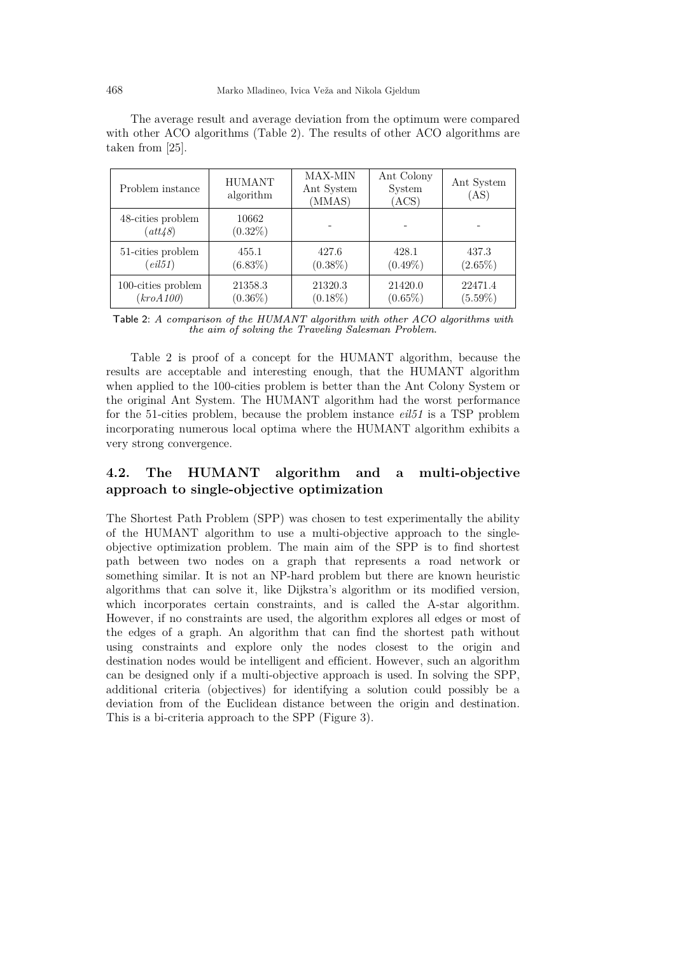| Problem instance             | <b>HUMANT</b><br>algorithm | <b>MAX-MIN</b><br>Ant System<br>(MMAS) | Ant Colony<br>System<br>(ACS) | Ant System<br>(AS) |
|------------------------------|----------------------------|----------------------------------------|-------------------------------|--------------------|
| 48-cities problem<br>(att48) | 10662<br>$(0.32\%)$        |                                        |                               |                    |
| 51-cities problem            | 455.1                      | 427.6                                  | 428.1                         | 437.3              |
| $\ell$ <i>eil</i> $51)$      | (6.83%)                    | $(0.38\%)$                             | $(0.49\%)$                    | $(2.65\%)$         |
| 100-cities problem           | 21358.3                    | 21320.3                                | 21420.0                       | 22471.4            |
| (kroA100)                    | $(0.36\%)$                 | $(0.18\%)$                             | $(0.65\%)$                    | $(5.59\%)$         |

The average result and average deviation from the optimum were compared with other ACO algorithms (Table 2). The results of other ACO algorithms are taken from [\[25\].](#page-13-12)

Table 2: A comparison of the HUMANT algorithm with other ACO algorithms with the aim of solving the Traveling Salesman Problem.

Table 2 is proof of a concept for the HUMANT algorithm, because the results are acceptable and interesting enough, that the HUMANT algorithm when applied to the 100-cities problem is better than the Ant Colony System or the original Ant System. The HUMANT algorithm had the worst performance for the 51-cities problem, because the problem instance *eil51* is a TSP problem incorporating numerous local optima where the HUMANT algorithm exhibits a very strong convergence.

# **4.2. The HUMANT algorithm and a multi-objective approach to single-objective optimization**

The Shortest Path Problem (SPP) was chosen to test experimentally the ability of the HUMANT algorithm to use a multi-objective approach to the singleobjective optimization problem. The main aim of the SPP is to find shortest path between two nodes on a graph that represents a road network or something similar. It is not an NP-hard problem but there are known heuristic algorithms that can solve it, like Dijkstra's algorithm or its modified version, which incorporates certain constraints, and is called the A-star algorithm. However, if no constraints are used, the algorithm explores all edges or most of the edges of a graph. An algorithm that can find the shortest path without using constraints and explore only the nodes closest to the origin and destination nodes would be intelligent and efficient. However, such an algorithm can be designed only if a multi-objective approach is used. In solving the SPP, additional criteria (objectives) for identifying a solution could possibly be a deviation from of the Euclidean distance between the origin and destination. This is a bi-criteria approach to the SPP (Figure 3).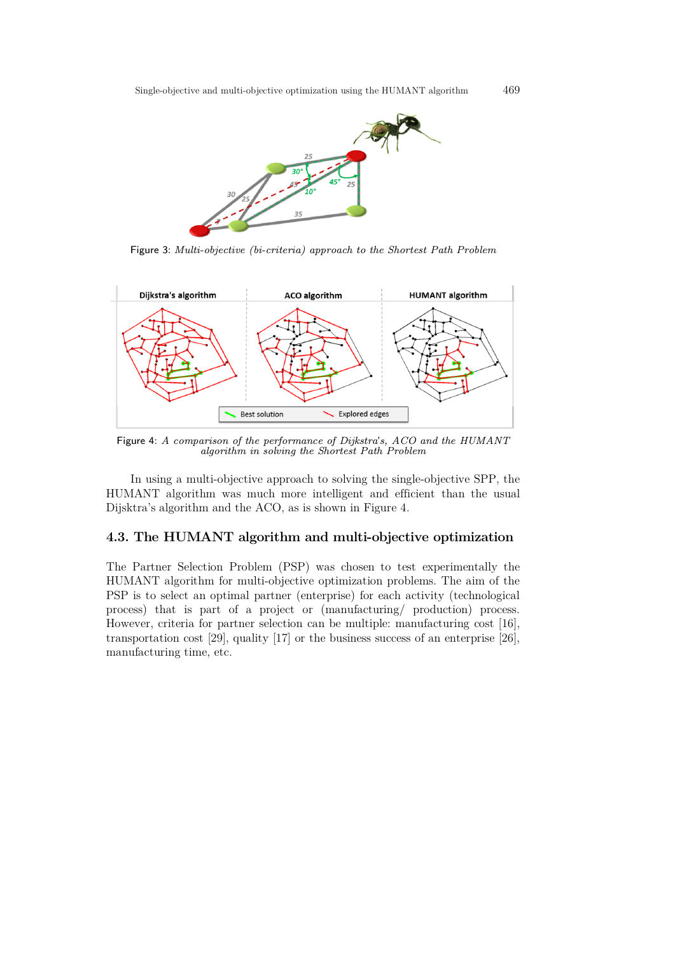

Figure 3: Multi-objective (bi-criteria) approach to the Shortest Path Problem



Figure 4: A comparison of the performance of Dijkstra's, ACO and the HUMANT algorithm in solving the Shortest Path Problem

In using a multi-objective approach to solving the single-objective SPP, the HUMANT algorithm was much more intelligent and efficient than the usual Dijsktra's algorithm and the ACO, as is shown in Figure 4.

### **4.3. The HUMANT algorithm and multi-objective optimization**

The Partner Selection Problem (PSP) was chosen to test experimentally the HUMANT algorithm for multi-objective optimization problems. The aim of the PSP is to select an optimal partner (enterprise) for each activity (technological process) that is part of a project or (manufacturing/ production) process. However, criteria for partner selection can be multiple: manufacturing cost [\[16\],](#page-13-14) transportation cost [\[29\],](#page-14-5) quality [\[17\]](#page-13-16) or the business success of an enterprise [\[26\],](#page-13-17) manufacturing time, etc.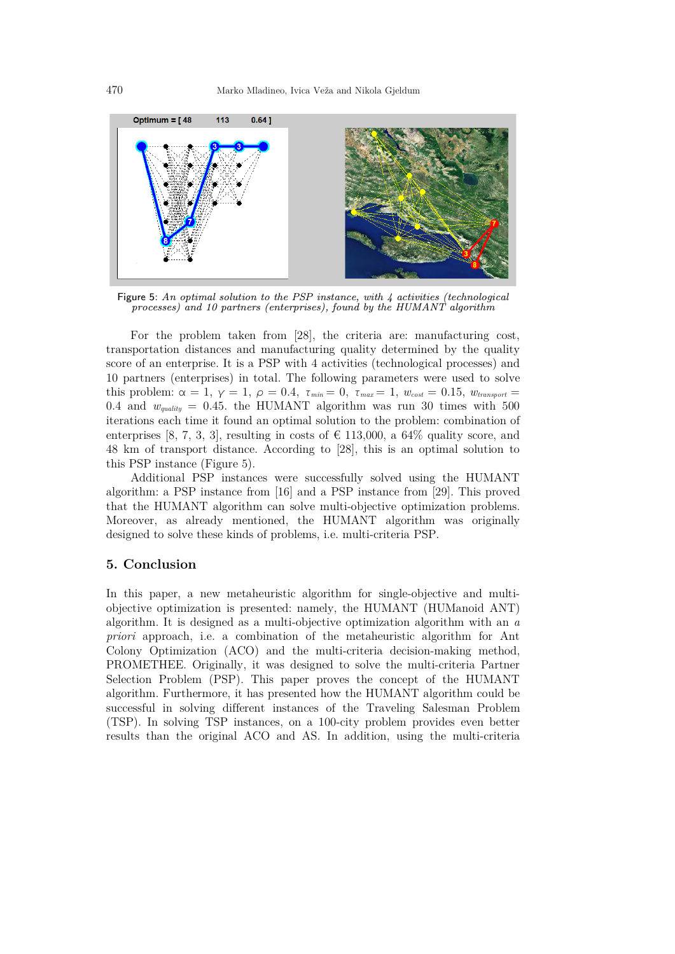

Figure 5: An optimal solution to the PSP instance, with  $\lambda$  activities (technological processes) and 10 partners (enterprises), found by the HUMANT algorithm

For the problem taken from [\[28\],](#page-13-18) the criteria are: manufacturing cost, transportation distances and manufacturing quality determined by the quality score of an enterprise. It is a PSP with 4 activities (technological processes) and 10 partners (enterprises) in total. The following parameters were used to solve this problem:  $\alpha = 1$ ,  $\gamma = 1$ ,  $\rho = 0.4$ ,  $\tau_{min} = 0$ ,  $\tau_{max} = 1$ ,  $w_{cost} = 0.15$ ,  $w_{transport} = 1$ 0.4 and  $w_{quality} = 0.45$ . the HUMANT algorithm was run 30 times with 500 iterations each time it found an optimal solution to the problem: combination of enterprises [8, 7, 3, 3], resulting in costs of  $\in$  113,000, a 64% quality score, and 48 km of transport distance. According to [\[28\],](#page-13-18) this is an optimal solution to this PSP instance (Figure 5).

Additional PSP instances were successfully solved using the HUMANT algorithm: a PSP instance from [\[16\]](#page-13-14) and a PSP instance from [\[29\].](#page-14-5) This proved that the HUMANT algorithm can solve multi-objective optimization problems. Moreover, as already mentioned, the HUMANT algorithm was originally designed to solve these kinds of problems, i.e. multi-criteria PSP.

# **5. Conclusion**

In this paper, a new metaheuristic algorithm for single-objective and multiobjective optimization is presented: namely, the HUMANT (HUManoid ANT) algorithm. It is designed as a multi-objective optimization algorithm with an *a priori* approach, i.e. a combination of the metaheuristic algorithm for Ant Colony Optimization (ACO) and the multi-criteria decision-making method, PROMETHEE. Originally, it was designed to solve the multi-criteria Partner Selection Problem (PSP). This paper proves the concept of the HUMANT algorithm. Furthermore, it has presented how the HUMANT algorithm could be successful in solving different instances of the Traveling Salesman Problem (TSP). In solving TSP instances, on a 100-city problem provides even better results than the original ACO and AS. In addition, using the multi-criteria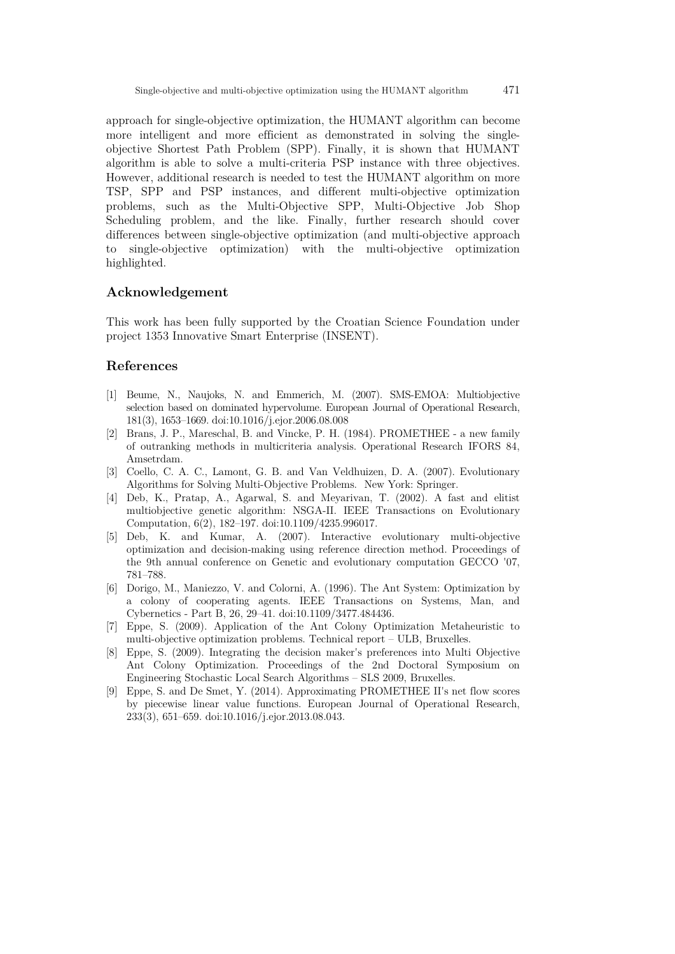approach for single-objective optimization, the HUMANT algorithm can become more intelligent and more efficient as demonstrated in solving the singleobjective Shortest Path Problem (SPP). Finally, it is shown that HUMANT algorithm is able to solve a multi-criteria PSP instance with three objectives. However, additional research is needed to test the HUMANT algorithm on more TSP, SPP and PSP instances, and different multi-objective optimization problems, such as the Multi-Objective SPP, Multi-Objective Job Shop Scheduling problem, and the like. Finally, further research should cover differences between single-objective optimization (and multi-objective approach to single-objective optimization) with the multi-objective optimization highlighted.

### **Acknowledgement**

This work has been fully supported by the Croatian Science Foundation under project 1353 Innovative Smart Enterprise (INSENT).

# **References**

- <span id="page-12-1"></span>[1] Beume, N., Naujoks, N. and Emmerich, M. (2007). SMS-EMOA: Multiobjective selection based on dominated hypervolume. European Journal of Operational Research, 181(3), 1653–1669. doi:10.1016/j.ejor.2006.08.008
- <span id="page-12-4"></span>[2] Brans, J. P., Mareschal, B. and Vincke, P. H. (1984). PROMETHEE - a new family of outranking methods in multicriteria analysis. Operational Research IFORS 84, Amsetrdam.
- <span id="page-12-5"></span>[3] Coello, C. A. C., Lamont, G. B. and Van Veldhuizen, D. A. (2007). Evolutionary Algorithms for Solving Multi-Objective Problems. New York: Springer.
- <span id="page-12-0"></span>[4] Deb, K., Pratap, A., Agarwal, S. and Meyarivan, T. (2002). A fast and elitist multiobjective genetic algorithm: NSGA-II. IEEE Transactions on Evolutionary Computation, 6(2), 182–197. doi:10.1109/4235.996017.
- <span id="page-12-2"></span>[5] Deb, K. and Kumar, A. (2007). Interactive evolutionary multi-objective optimization and decision-making using reference direction method. Proceedings of the 9th annual conference on Genetic and evolutionary computation GECCO '07, 781–788.
- [6] Dorigo, M., Maniezzo, V. and Colorni, A. (1996). The Ant System: Optimization by a colony of cooperating agents. IEEE Transactions on Systems, Man, and Cybernetics - Part B, 26, 29–41. doi:10.1109/3477.484436.
- <span id="page-12-7"></span>[7] Eppe, S. (2009). Application of the Ant Colony Optimization Metaheuristic to multi-objective optimization problems. Technical report – ULB, Bruxelles.
- <span id="page-12-3"></span>[8] Eppe, S. (2009). Integrating the decision maker's preferences into Multi Objective Ant Colony Optimization. Proceedings of the 2nd Doctoral Symposium on Engineering Stochastic Local Search Algorithms – SLS 2009, Bruxelles.
- <span id="page-12-6"></span>[9] Eppe, S. and De Smet, Y. (2014). Approximating PROMETHEE II's net flow scores by piecewise linear value functions. European Journal of Operational Research, 233(3), 651–659. doi:10.1016/j.ejor.2013.08.043.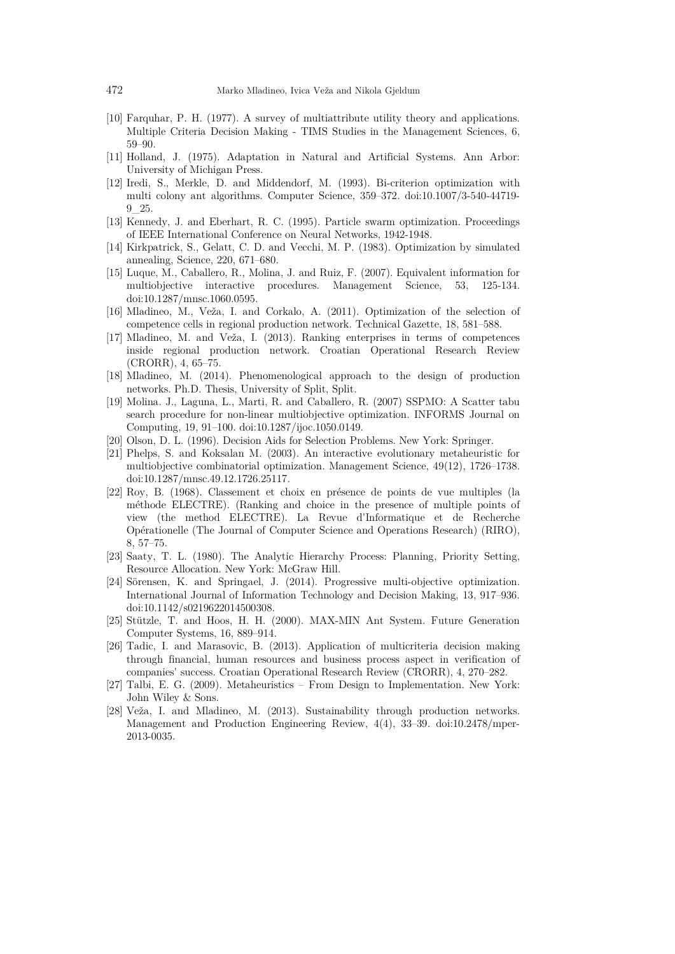- <span id="page-13-8"></span>[10] Farquhar, P. H. (1977). A survey of multiattribute utility theory and applications. Multiple Criteria Decision Making - TIMS Studies in the Management Sciences, 6, 59–90.
- <span id="page-13-5"></span>[11] Holland, J. (1975). Adaptation in Natural and Artificial Systems. Ann Arbor: University of Michigan Press.
- <span id="page-13-13"></span>[12] Iredi, S., Merkle, D. and Middendorf, M. (1993). Bi-criterion optimization with multi colony ant algorithms. Computer Science, 359–372. doi:10.1007/3-540-44719- 9\_25.
- <span id="page-13-6"></span>[13] Kennedy, J. and Eberhart, R. C. (1995). Particle swarm optimization. Proceedings of IEEE International Conference on Neural Networks, 1942-1948.
- <span id="page-13-7"></span>[14] Kirkpatrick, S., Gelatt, C. D. and Vecchi, M. P. (1983). Optimization by simulated annealing, Science, 220, 671–680.
- <span id="page-13-2"></span>[15] Luque, M., Caballero, R., Molina, J. and Ruiz, F. (2007). Equivalent information for multiobjective interactive procedures. Management Science, 53, 125-134. doi:10.1287/mnsc.1060.0595.
- <span id="page-13-14"></span>[16] Mladineo, M., Veža, I. and Corkalo, A. (2011). Optimization of the selection of competence cells in regional production network. Technical Gazette, 18, 581–588.
- <span id="page-13-16"></span>[17] Mladineo, M. and Veža, I. (2013). Ranking enterprises in terms of competences inside regional production network. Croatian Operational Research Review (CRORR), 4, 65–75.
- <span id="page-13-15"></span>[18] Mladineo, M. (2014). Phenomenological approach to the design of production networks. Ph.D. Thesis, University of Split, Split.
- <span id="page-13-1"></span>[19] Molina. J., Laguna, L., Marti, R. and Caballero, R. (2007) SSPMO: A Scatter tabu search procedure for non-linear multiobjective optimization. INFORMS Journal on Computing, 19, 91–100. doi:10.1287/ijoc.1050.0149.
- <span id="page-13-11"></span>[20] Olson, D. L. (1996). Decision Aids for Selection Problems. New York: Springer.
- <span id="page-13-3"></span>[21] Phelps, S. and Koksalan M. (2003). An interactive evolutionary metaheuristic for multiobjective combinatorial optimization. Management Science, 49(12), 1726–1738. doi:10.1287/mnsc.49.12.1726.25117.
- <span id="page-13-10"></span>[22] Roy, B. (1968). Classement et choix en présence de points de vue multiples (la méthode ELECTRE). (Ranking and choice in the presence of multiple points of view (the method ELECTRE). La Revue d'Informatique et de Recherche Opérationelle (The Journal of Computer Science and Operations Research) (RIRO), 8, 57–75.
- <span id="page-13-9"></span>[23] Saaty, T. L. (1980). The Analytic Hierarchy Process: Planning, Priority Setting, Resource Allocation. New York: McGraw Hill.
- <span id="page-13-4"></span>[24] Sörensen, K. and Springael, J. (2014). Progressive multi-objective optimization. International Journal of Information Technology and Decision Making, 13, 917–936. doi:10.1142/s0219622014500308.
- <span id="page-13-12"></span>[25] Stützle, T. and Hoos, H. H. (2000). MAX-MIN Ant System. Future Generation Computer Systems, 16, 889–914.
- <span id="page-13-17"></span>[26] Tadic, I. and Marasovic, B. (2013). Application of multicriteria decision making through financial, human resources and business process aspect in verification of companies' success. Croatian Operational Research Review (CRORR), 4, 270–282.
- <span id="page-13-0"></span>[27] Talbi, E. G. (2009). Metaheuristics – From Design to Implementation. New York: John Wiley & Sons.
- <span id="page-13-18"></span>[28] Veža, I. and Mladineo, M. (2013). Sustainability through production networks. Management and Production Engineering Review, 4(4), 33–39. doi:10.2478/mper-2013-0035.